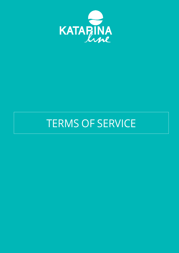

# TERMS OF SERVICE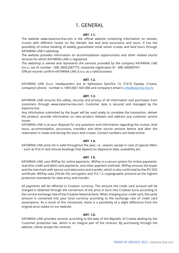# 1. GENERAL

# **ART. 1.1.**

The website www.katarina-line.com is the official website containing information on vessels, cruises with different routes on the Adriatic Sea and land excursions and tours. It has the possibility of online booking of weekly guaranteed small vessel cruises and land tours through KATARINA LINE's webshop.

The website provides information on accommodation opportunities and other related tourist services for which KATARINA LINE is registered.

The webshop is owned and represents the services provided by the company KATARINA LINE d.o.o., tax ID number - OIB: 28922587775, corporate registration ID - MB: 040009767. Official records confirm KATARINA LINE d.o.o. as a valid business.

# **ART. 1.2.**

KATARINA LINE d.o.o. headquarters are at Vjekoslava Spinčića 13, 51410 Opatija, Croatia, company's phone number is +385 (0)51 603 400 and company's email is [info@katarina-line.hr](mailto:info@katarina-line.hr)

# **ART. 1.3.**

KATARINA LINE ensures the safety, security and privacy of all information and purchases from customers through www.katarina-line.com. Customer data is secured and managed by the Katarina line.

Any information submitted by the buyer will be used solely to complete the transaction, deliver the product, provide information on new product releases and address any customer service issues.

KATARINA LINE is at your disposal for any questions and information regarding the cruises, land tours, accommodation, excursions, transfers and other tourist services before and after the reservation is made and during the tours and cruises. Contact numbers are listed online.

# **ART. 1.4.**

KATARINA LINE price list is valid throughout the year, i.e., season; except in case of special offers – such as first or last-minute bookings that depend on departure date, availability etc.

#### **ART. 1.5.**

KATARINA LINE uses WSPay for online payments. WSPay is a secure system for online payments, real-time credit and debit card payments, and other payment methods. WSPay ensures the buyer and the merchant with secure card data entry and transfer, which is also confirmed by the PCI DSS certificate. WSPay uses 256-bit SSL encryption and TLS 1.2 cryptographic protocol as the highest protection standards for data entry and transfer.

All payments will be effected in Croatian currency. The amount the credit card account will be charged is obtained through the conversion of the price in Euro into Croatian kuna according to the current exchange rate of the Croatian National bank. When charging your credit card, the same amount is converted into your local currency according to the exchange rate of credit card associations. As a result of this conversion, there is a possibility of a slight difference from the original price stated on our website.

#### **ART. 1.6.**

KATARINA LINE provides services according to the laws of the Republic of Croatia abiding by the Customer protection law, which is an integral part of the contract. By purchasing through the website, clients accept the contract.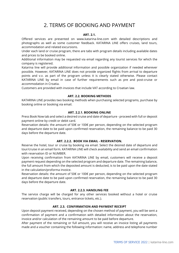# 2. TERMS OF BOOKING AND PAYMENT

# **ART. 2.1.**

Offered services are presented on www.katarina-line.com with detailed descriptions and photographs as well as some customer feedback. KATARINA LINE offers cruises, land tours, accommodation and related excursions.

Under each land or cruise program, there are tabs with program details including available dates and prices to be booked online.

Additional information may be requested via email regarding any tourist services for which the company is registered.

Katarina line will provide additional information and possible organization if needed wherever possible. However, KATARINA LINE does not provide organized flights from arrival to departure points and v.v. as part of the program unless it is clearly stated otherwise. Please contact KATARINA LINE by email in case of further requirements such as pre and post-cruise or accommodation in Croatia.

Customers are provided with invoices that include VAT according to Croatian law.

#### **ART. 2.2. BOOKING METHODS**

KATARINA LINE provides two booking methods when purchasing selected programs, purchase by booking online or booking via email.

#### **ART. 2.2.1. BOOKING ONLINE**

Press Book Now tab and select a desired cruise and date of departure - proceed with full or deposit payment online by credit or debit card.

Reservation details: the amount of 50€ or 100€ per person, depending on the selected program and departure date to be paid upon confirmed reservation, the remaining balance to be paid 30 days before the departure date.

#### **ART. 2.2.2. BOOK VIA EMAIL - RESERVATION.**

Reserve the hotel, tour or cruise by booking via email. Select the desired date of departure and tour/cruise in an email form. KATARINA LINE will check availability and send an email confirmation with reservation ID or NUMBER.

Upon receiving confirmation from KATARINA LINE by email, customers will receive a deposit payment request depending on the selected program and departure date. The remaining balance, the full amount from which the deposited amount is deducted, is to be paid upon the date stated in the calculation/proforma invoice.

Reservation details: the amount of 50€ or 100€ per person, depending on the selected program and departure date to be paid upon confirmed reservation, the remaining balance to be paid 30 days before the departure date.

# **ART. 2.2.3. HANDLING FEE**

The service charge will be charged for any other services booked without a hotel or cruise reservation (public transfers, tours, entrance tickets, etc.).

#### **ART. 2.3. CONFIRMATION AND PAYMENT RECEIPT**

Upon deposit payment received, depending on the chosen method of payment, you will be sent a confirmation of payment and a confirmation with detailed information about the reservation, invoice and/or calculation of the remaining amount to be paid before departure.

After payment of the remaining or full amount, you will receive an invoice listing all payments made and a voucher containing the following information: name, address and telephone number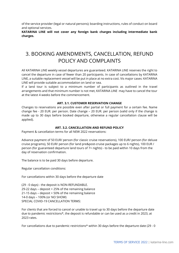of the service provider (legal or natural persons); boarding instructions, rules of conduct on board and optional services.

**KATARINA LINE will not cover any foreign bank charges including intermediate bank charges.**

# 3. BOOKING AMENDMENTS, CANCELLATION, REFUND POLICY AND COMPLAINTS

All KATARINA LINE weekly vessel departures are guaranteed. KATARINA LINE reserves the right to cancel the departure in case of fewer than 20 participants. In case of cancellations by KATARINA LINE, a suitable replacement vessel will be put in place at no extra cost. Vis major cases: KATARINA LINE will provide suitable accommodation on land or sea.

If a land tour is subject to a minimum number of participants as outlined in the travel arrangements and that minimum number is not met, KATARINA LINE may have to cancel the tour at the latest 4 weeks before the commencement.

# **ART. 3.1. CUSTOMER RESERVATION CHANGE**

Changes to reservations are possible even after partial or full payment for a certain fee. Name change fee - 20 EUR. per person. Date change – 20 EUR. per person (valid only if the change is made up to 30 days before booked departure, otherwise a regular cancellation clause will be applied).

## **ART. 3.2. CANCELLATION AND REFUND POLICY**

Payment & cancellation terms for all NEW 2022 reservations:

Advance payment of 50 EUR/ person (for classic cruise reservations), 100 EUR/ person (for deluxe cruise programs), 50 EUR/ person (for land pre&post-cruise packages up to 6 nights), 100 EUR / person (for guaranteed departure land tours of 7+ nights) - to be paid within 10 days from the day of reservation confirmation.

The balance is to be paid 30 days before departure.

Regular cancellation conditions:

For cancellations within 30 days before the departure date

(29 - 0 days) - the deposit is NON-REFUNDABLE. 29-22 days – deposit + 25% of the remaining balance 21-15 days – deposit + 50% of the remaining balance 14-0 days – 100% (or NO SHOW) SPECIAL COVID-19 CANCELLATION TERMS:

For clients that are forced to cancel or unable to travel up to 30 days before the departure date due to pandemic restrictions\*, the deposit is refundable or can be used as a credit in 2023, at 2023 rates.

For cancellations due to pandemic restrictions\* within 30 days before the departure date (29 - 0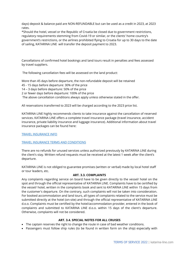days) deposit & balance paid are NON-REFUNDABLE but can be used as a credit in 2023, at 2023 rates.

\*Should the hotel, vessel or the Republic of Croatia be closed due to government restrictions, regulatory requirements stemming from Covid-19 or similar, or the clients' home country's government's restrictions, or the airlines prohibited flying to Croatia for up to 30 days to the date of sailing, KATARINA LINE will transfer the deposit payment to 2023.

Cancellations of confirmed hotel bookings and land tours result in penalties and fees assessed by travel suppliers.

The following cancellation fees will be assessed on the land product:

More than 45 days before departure, the non-refundable deposit will be retained 45 - 15 days before departure: 30% of the price 14 – 3 days before departure: 50% of the price 2 or fewer days before departure: 100% of the price The above cancellation conditions always apply unless otherwise stated in the offer.

All reservations transferred to 2023 will be charged according to the 2023 price list.

KATARINA LINE highly recommends clients to take insurance against the cancellation of reserved services. KATARINA LINE offers a complete travel insurance package (travel insurance, accident insurance, private liability insurance and luggage insurance). Additional information about travel insurance packages can be found here:

[TRAVEL INSURANCE INFO](https://www.katarina-line.com/docs/katarinalineEN/documents/35/1.0/Original.pdf)

# [TRAVEL INSURANCE TERMS AND CONDITIONS](http://cms.katarina-line.com/docs/katarinalineEN/documents/21/2.1/Original.pdf)

There are no refunds for unused services unless authorized previously by KATARINA LINE during the client's stay. Written refund requests must be received at the latest 1 week after the client's departure.

KATARINA LINE is not obliged to guarantee promises (written or verbal) made by local hotel staff or tour leaders, etc.

#### **ART. 3.3. COMPLAINTS**

Any complaints regarding service on board have to be given directly to the vessel/ hotel on the spot and through the official representative of KATARINA LINE. Complaints have to be certified by the vessel/ hotel, written in the complaints book and sent to KATARINA LINE within 15 days from the customer's departure. On the contrary, such complaints will not be taken into consideration. For booked accommodation and land tours, all types of complaints related to the service must be submitted directly at the hotel (on-site) and through the official representative of KATARINA LINE d.o.o. Complaints must be certified by the hotel/accommodation provider, entered in the book of complaints and submitted to KATARINA LINE d.o.o. within 15 days of the client's departure. Otherwise, complaints will not be considered.

#### **ART. 3.4. SPECIAL NOTES FOR ALL CRUISES**

- The captain reserves the right to change the route in case of bad weather conditions.
- Passengers must follow ship rules (to be found in written form on the ship) especially with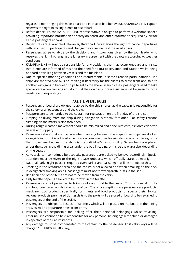regards to not bringing drinks on board and in case of bad behaviour, KATARINA LINE/ captain reserves the right in asking clients to disembark.

- Before departure, the KATARINA LINE representative is obliged to perform a welcome speech providing important information on safety on board, and other information required by law for all the passengers aboard.
- Departures are guaranteed. However, Katarina Line reserves the right to cancel departures with less than 20 participants and change the vessel name if the need arises.
- Passengers agree to abide by the decisions and instructions given by the tour leader who reserves the right in changing the itinerary in agreement with the captain according to weather conditions.
- KATARINA LINE will not be responsible for any accidents that may occur onboard and insists that clients are informed of this and the need for extra observation and caution whilst being onboard or walking between vessels and the mainland.
- Due to specific mooring conditions and requirements in some Croatian ports, Katarina Line ships are moored side by side, making it necessary for the clients to cross from one ship to another with gaps in between ships to get to the shore. In such cases, passengers need to take special care when crossing and do this at their own risk. Crew assistance will be given to those needing and requesting it.

# **ART. 3.5. VESSEL RULES**

- Passengers onboard are obliged to abide by the ship's rules, as the captain is responsible for the safety of all passengers and the crew.
- Passports are to be handed to the captain for registration on the first day of the cruise.
- Jumping or diving from the ship during navigation is strictly forbidden. For safety reasons climbing on the masts is also forbidden.
- During rough weather, movement should be minimized and done with care, as floors can often be wet and slippery.
- Passengers should take extra care when crossing between the ships when ships are docked alongside in port. It is advised able to ask a crew member for assistance when crossing. Note that movement between the ships is the individual's responsibility. Safety belts are placed under the seats in the dining area, under the bed in cabins, or inside the wardrobe, depending on the vessel.
- As vessels can sometimes be acoustic, passengers are asked to behave accordingly. Special attention must be given to the night peace onboard, which officially starts at midnight. In National Parks night peace is required even earlier and passengers will be notified of this.
- Smoking in the restaurant area and the cabins is not allowed and when smoking on the deck in designated smoking areas, passengers must not throw cigarette butts in the sea.
- Bed linen and other items are not to be moved from the cabin.
- Only toilette paper is allowed to be thrown in the toilette.
- Passengers are not permitted to bring drinks and food to the vessel. This includes all drinks and food purchased on shore in ports of call. The only exceptions are personal care products, medicine, food products specifically for infants and food products for special diets. Typical regional products purchased during visits to the ports will be stored onboard to be returned to passengers at the end of the cruise.
- Passengers are obliged to respect mealtimes, which will be placed on the board in the dining area, as well as departure times from ports.
- Passengers are responsible for looking after their personal belongings whilst travelling. Katarina Line cannot be held responsible for any personal belongings left behind or damaged irrespective of the circumstances.
- Any damage must be compensated to the captain by the passenger. Lost cabin keys will be charged 150 HRK/key (20 €/key).